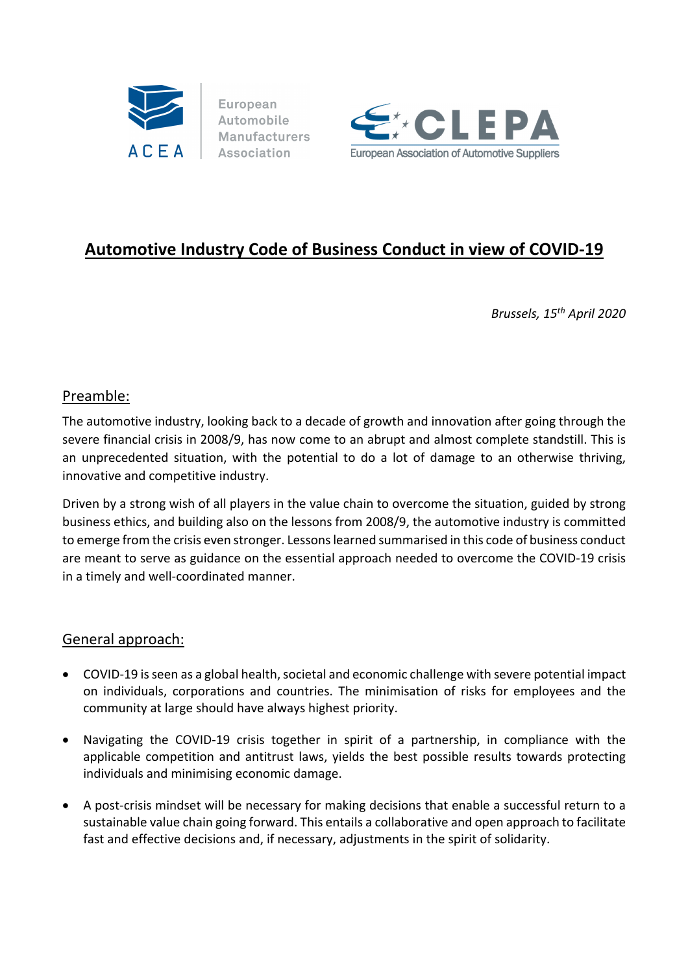

European Automobile **Manufacturers** Association



# **Automotive Industry Code of Business Conduct in view of COVID‐19**

*Brussels, 15th April 2020*

## Preamble:

The automotive industry, looking back to a decade of growth and innovation after going through the severe financial crisis in 2008/9, has now come to an abrupt and almost complete standstill. This is an unprecedented situation, with the potential to do a lot of damage to an otherwise thriving, innovative and competitive industry.

Driven by a strong wish of all players in the value chain to overcome the situation, guided by strong business ethics, and building also on the lessons from 2008/9, the automotive industry is committed to emerge from the crisis even stronger. Lessons learned summarised in this code of business conduct are meant to serve as guidance on the essential approach needed to overcome the COVID‐19 crisis in a timely and well‐coordinated manner.

### General approach:

- COVID-19 is seen as a global health, societal and economic challenge with severe potential impact on individuals, corporations and countries. The minimisation of risks for employees and the community at large should have always highest priority.
- Navigating the COVID-19 crisis together in spirit of a partnership, in compliance with the applicable competition and antitrust laws, yields the best possible results towards protecting individuals and minimising economic damage.
- A post-crisis mindset will be necessary for making decisions that enable a successful return to a sustainable value chain going forward. This entails a collaborative and open approach to facilitate fast and effective decisions and, if necessary, adjustments in the spirit of solidarity.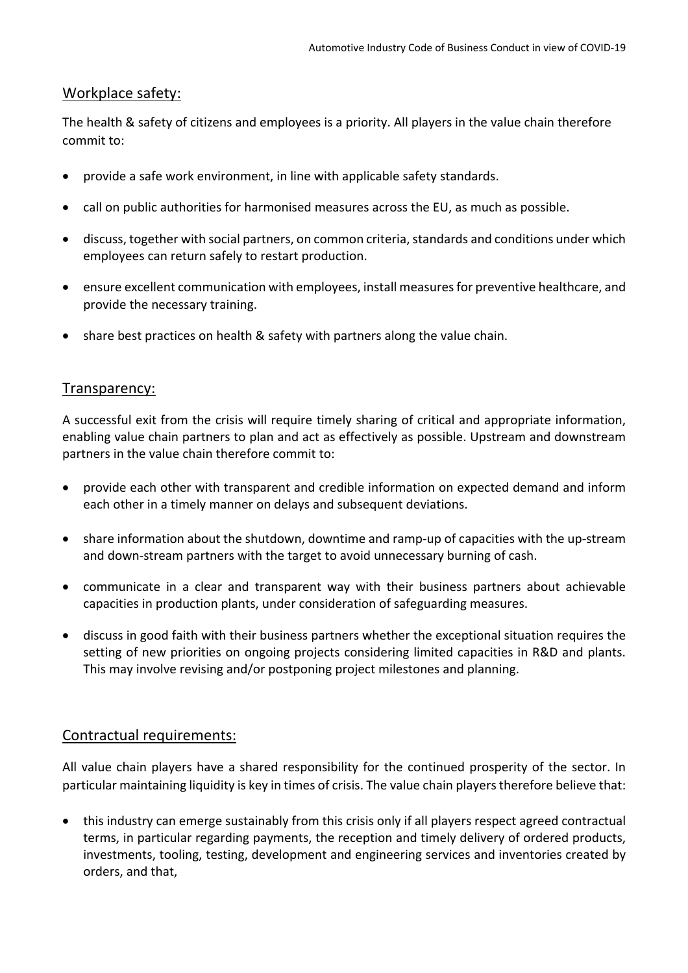### Workplace safety:

The health & safety of citizens and employees is a priority. All players in the value chain therefore commit to:

- provide a safe work environment, in line with applicable safety standards.
- call on public authorities for harmonised measures across the EU, as much as possible.
- discuss, together with social partners, on common criteria, standards and conditions under which employees can return safely to restart production.
- ensure excellent communication with employees, install measures for preventive healthcare, and provide the necessary training.
- share best practices on health & safety with partners along the value chain.

### Transparency:

A successful exit from the crisis will require timely sharing of critical and appropriate information, enabling value chain partners to plan and act as effectively as possible. Upstream and downstream partners in the value chain therefore commit to:

- provide each other with transparent and credible information on expected demand and inform each other in a timely manner on delays and subsequent deviations.
- share information about the shutdown, downtime and ramp-up of capacities with the up-stream and down‐stream partners with the target to avoid unnecessary burning of cash.
- communicate in a clear and transparent way with their business partners about achievable capacities in production plants, under consideration of safeguarding measures.
- discuss in good faith with their business partners whether the exceptional situation requires the setting of new priorities on ongoing projects considering limited capacities in R&D and plants. This may involve revising and/or postponing project milestones and planning.

### Contractual requirements:

All value chain players have a shared responsibility for the continued prosperity of the sector. In particular maintaining liquidity is key in times of crisis. The value chain players therefore believe that:

 this industry can emerge sustainably from this crisis only if all players respect agreed contractual terms, in particular regarding payments, the reception and timely delivery of ordered products, investments, tooling, testing, development and engineering services and inventories created by orders, and that,